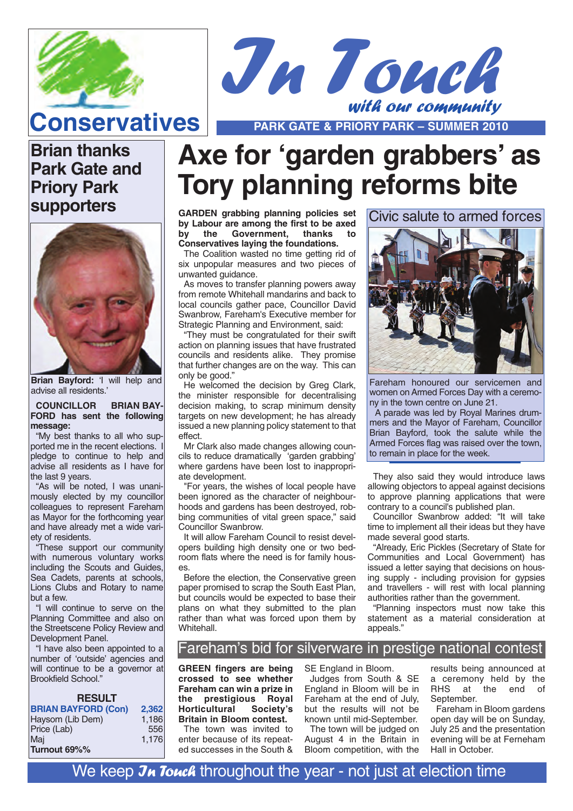



**Conservatives PARK GATE & PRIORY PARK – SUMMER 2010** 

### **Brian thanks Park Gate and Priory Park supporters**



**Brian Bayford:** 'I will help and advise all residents.'

**COUNCILLOR BRIAN BAY-FORD has sent the following message:** 

"My best thanks to all who supported me in the recent elections. I pledge to continue to help and advise all residents as I have for the last 9 years.

"As will be noted, I was unanimously elected by my councillor colleagues to represent Fareham as Mayor for the forthcoming year and have already met a wide variety of residents.

"These support our community with numerous voluntary works including the Scouts and Guides, Sea Cadets, parents at schools, Lions Clubs and Rotary to name but a few.

"I will continue to serve on the Planning Committee and also on the Streetscene Policy Review and Development Panel.

"I have also been appointed to a number of 'outside' agencies and will continue to be a governor at Brookfield School."

| <b>RESULT</b>              |       |
|----------------------------|-------|
| <b>BRIAN BAYFORD (Con)</b> | 2.362 |
| Haysom (Lib Dem)           | 1,186 |
| Price (Lab)                | 556   |
| Mai                        | 1,176 |
| Turnout 69%%               |       |

# **Axe for 'garden grabbers' as Tory planning reforms bite**

**GARDEN grabbing planning policies set by Labour are among the first to be axed by the Government, thanks to Conservatives laying the foundations.**

The Coalition wasted no time getting rid of six unpopular measures and two pieces of unwanted guidance.

As moves to transfer planning powers away from remote Whitehall mandarins and back to local councils gather pace, Councillor David Swanbrow, Fareham's Executive member for Strategic Planning and Environment, said:

"They must be congratulated for their swift action on planning issues that have frustrated councils and residents alike. They promise that further changes are on the way. This can only be good."

He welcomed the decision by Greg Clark, the minister responsible for decentralising decision making, to scrap minimum density targets on new development; he has already issued a new planning policy statement to that effect.

Mr Clark also made changes allowing councils to reduce dramatically 'garden grabbing' where gardens have been lost to inappropriate development.

"For years, the wishes of local people have been ignored as the character of neighbourhoods and gardens has been destroyed, robbing communities of vital green space," said Councillor Swanbrow.

It will allow Fareham Council to resist developers building high density one or two bedroom flats where the need is for family houses.

Before the election, the Conservative green paper promised to scrap the South East Plan. but councils would be expected to base their plans on what they submitted to the plan rather than what was forced upon them by Whitehall.

Civic salute to armed forces



Fareham honoured our servicemen and women on Armed Forces Day with a ceremony in the town centre on June 21.

A parade was led by Royal Marines drummers and the Mayor of Fareham, Councillor Brian Bayford, took the salute while the Armed Forces flag was raised over the town, to remain in place for the week.

They also said they would introduce laws allowing objectors to appeal against decisions to approve planning applications that were contrary to a council's published plan.

Councillor Swanbrow added: "It will take time to implement all their ideas but they have made several good starts.

"Already, Eric Pickles (Secretary of State for Communities and Local Government) has issued a letter saying that decisions on housing supply - including provision for gypsies and travellers - will rest with local planning authorities rather than the government.

"Planning inspectors must now take this statement as a material consideration at appeals."

### Fareham's bid for silverware in prestige national contest

**GREEN fingers are being crossed to see whether Fareham can win a prize in** the prestigious Royal<br>Horticultural Society's **Horticultural Britain in Bloom contest.** The town was invited to

enter because of its repeated successes in the South & SE England in Bloom. Judges from South & SE England in Bloom will be in Fareham at the end of July, but the results will not be known until mid-September.

The town will be judged on August 4 in the Britain in Bloom competition, with the

results being announced at a ceremony held by the<br>RHS at the end of at the end of September.

Fareham in Bloom gardens open day will be on Sunday, July 25 and the presentation evening will be at Ferneham Hall in October.

We keep  $J_{\mathcal{H}}$  Touch throughout the year - not just at election time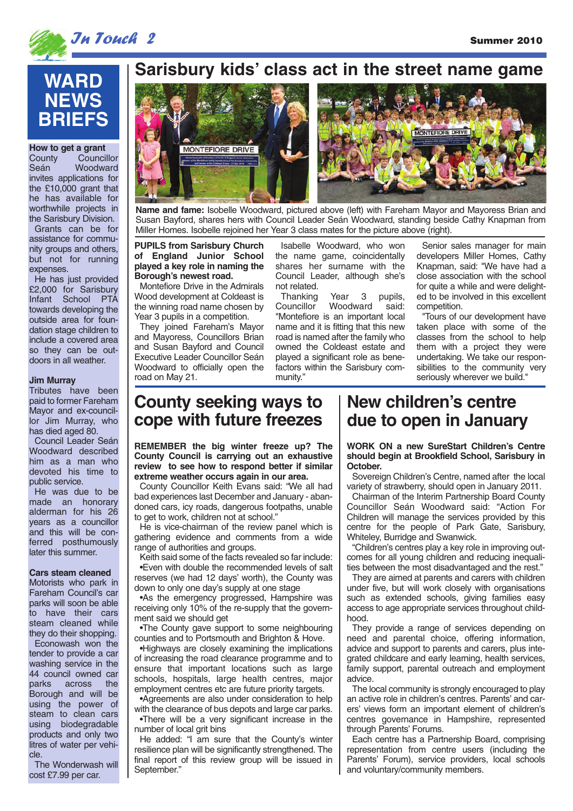

### **In Touch 2** Summer 2010

## **WARD NEWS BRIEFS**

**How to get a grant**<br>County Counci County Councillor<br>Seán Woodward Woodward invites applications for the £10,000 grant that he has available for worthwhile projects in the Sarisbury Division. Grants can be for assistance for community groups and others, but not for running expenses.

He has just provided £2,000 for Sarisbury Infant School PTA towards developing the outside area for foundation stage children to include a covered area so they can be outdoors in all weather.

#### **Jim Murray**

Tributes have been paid to former Fareham Mayor and ex-councillor Jim Murray, who has died aged 80.

Council Leader Seán Woodward described him as a man who devoted his time to public service.

He was due to be made an honorary alderman for his 26 years as a councillor and this will be conferred posthumously later this summer.

#### **Cars steam cleaned**

Motorists who park in Fareham Council's car parks will soon be able to have their cars steam cleaned while they do their shopping. Econowash won the tender to provide a car washing service in the 44 council owned car<br>parks across the across the Borough and will be using the power of steam to clean cars using biodegradable products and only two litres of water per vehicle.

The Wonderwash will cost £7.99 per car.

### **Sarisbury kids' class act in the street name game**



**Name and fame:** Isobelle Woodward, pictured above (left) with Fareham Mayor and Mayoress Brian and Susan Bayford, shares hers with Council Leader Seán Woodward, standing beside Cathy Knapman from Miller Homes. Isobelle rejoined her Year 3 class mates for the picture above (right).

#### **PUPILS from Sarisbury Church of England Junior School played a key role in naming the Borough's newest road.**

Montefiore Drive in the Admirals Wood development at Coldeast is the winning road name chosen by Year 3 pupils in a competition.

They joined Fareham's Mayor and Mayoress, Councillors Brian and Susan Bayford and Council Executive Leader Councillor Seán Woodward to officially open the road on May 21.

Isabelle Woodward, who won the name game, coincidentally shares her surname with the Council Leader, although she's not related.

**Thanking Year 3 pupils,<br>Councillor Woodward said:** Councillor Woodward said: "Montefiore is an important local name and it is fitting that this new road is named after the family who owned the Coldeast estate and played a significant role as benefactors within the Sarisbury community."

Senior sales manager for main developers Miller Homes, Cathy Knapman, said: "We have had a close association with the school for quite a while and were delighted to be involved in this excellent competition.

"Tours of our development have taken place with some of the classes from the school to help them with a project they were undertaking. We take our responsibilities to the community very seriously wherever we build."

### **County seeking ways to cope with future freezes**

**REMEMBER the big winter freeze up? The County Council is carrying out an exhaustive review to see how to respond better if similar extreme weather occurs again in our area.**

County Councillor Keith Evans said: "We all had bad experiences last December and January - abandoned cars, icy roads, dangerous footpaths, unable to get to work, children not at school."

He is vice-chairman of the review panel which is gathering evidence and comments from a wide range of authorities and groups.

Keith said some of the facts revealed so far include: •Even with double the recommended levels of salt reserves (we had 12 days' worth), the County was down to only one day's supply at one stage

•As the emergency progressed, Hampshire was receiving only 10% of the re-supply that the government said we should get

•The County gave support to some neighbouring counties and to Portsmouth and Brighton & Hove.

•Highways are closely examining the implications of increasing the road clearance programme and to ensure that important locations such as large schools, hospitals, large health centres, major employment centres etc are future priority targets.

•Agreements are also under consideration to help with the clearance of bus depots and large car parks.

•There will be a very significant increase in the number of local grit bins

He added: "I am sure that the County's winter resilience plan will be significantly strengthened. The final report of this review group will be issued in September."

### **New children's centre due to open in January**

**WORK ON a new SureStart Children's Centre should begin at Brookfield School, Sarisbury in October.** 

Sovereign Children's Centre, named after the local variety of strawberry, should open in January 2011.

Chairman of the Interim Partnership Board County Councillor Seán Woodward said: "Action For Children will manage the services provided by this centre for the people of Park Gate, Sarisbury, Whiteley, Burridge and Swanwick.

"Children's centres play a key role in improving outcomes for all young children and reducing inequalities between the most disadvantaged and the rest."

They are aimed at parents and carers with children under five, but will work closely with organisations such as extended schools, giving families easy access to age appropriate services throughout childhood.

They provide a range of services depending on need and parental choice, offering information, advice and support to parents and carers, plus integrated childcare and early learning, health services, family support, parental outreach and employment advice.

The local community is strongly encouraged to play an active role in children's centres. Parents' and carers' views form an important element of children's centres governance in Hampshire, represented through Parents' Forums.

Each centre has a Partnership Board, comprising representation from centre users (including the Parents' Forum), service providers, local schools and voluntary/community members.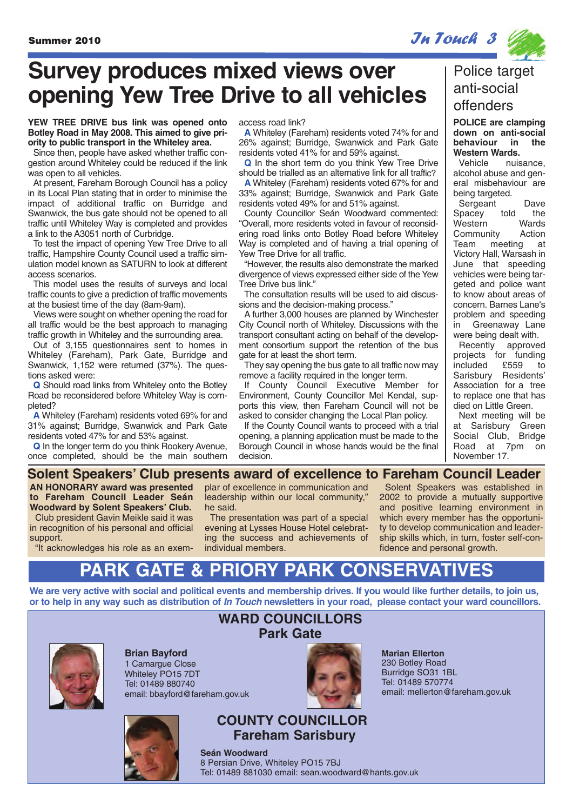**Survey produces mixed views over opening Yew Tree Drive to all vehicles**

### **YEW TREE DRIVE bus link was opened onto Botley Road in May 2008. This aimed to give priority to public transport in the Whiteley area.**

Since then, people have asked whether traffic congestion around Whiteley could be reduced if the link was open to all vehicles.

At present, Fareham Borough Council has a policy in its Local Plan stating that in order to minimise the impact of additional traffic on Burridge and Swanwick, the bus gate should not be opened to all traffic until Whiteley Way is completed and provides a link to the A3051 north of Curbridge.

To test the impact of opening Yew Tree Drive to all traffic, Hampshire County Council used a traffic simulation model known as SATURN to look at different access scenarios.

This model uses the results of surveys and local traffic counts to give a prediction of traffic movements at the busiest time of the day (8am-9am).

Views were sought on whether opening the road for all traffic would be the best approach to managing traffic growth in Whiteley and the surrounding area.

Out of 3,155 questionnaires sent to homes in Whiteley (Fareham), Park Gate, Burridge and Swanwick, 1,152 were returned (37%). The questions asked were:

**Q** Should road links from Whiteley onto the Botley Road be reconsidered before Whiteley Way is completed?

**A** Whiteley (Fareham) residents voted 69% for and 31% against; Burridge, Swanwick and Park Gate residents voted 47% for and 53% against.

**Q** In the longer term do you think Rookery Avenue, once completed, should be the main southern access road link?

**A** Whiteley (Fareham) residents voted 74% for and 26% against; Burridge, Swanwick and Park Gate residents voted 41% for and 59% against.

**Q** In the short term do you think Yew Tree Drive should be trialled as an alternative link for all traffic? **A** Whiteley (Fareham) residents voted 67% for and 33% against; Burridge, Swanwick and Park Gate residents voted 49% for and 51% against.

County Councillor Seán Woodward commented: "Overall, more residents voted in favour of reconsidering road links onto Botley Road before Whiteley Way is completed and of having a trial opening of Yew Tree Drive for all traffic.

"However, the results also demonstrate the marked divergence of views expressed either side of the Yew Tree Drive bus link."

The consultation results will be used to aid discussions and the decision-making process."

A further 3,000 houses are planned by Winchester City Council north of Whiteley. Discussions with the transport consultant acting on behalf of the development consortium support the retention of the bus gate for at least the short term.

They say opening the bus gate to all traffic now may remove a facility required in the longer term.

If County Council Executive Member for Environment, County Councillor Mel Kendal, supports this view, then Fareham Council will not be asked to consider changing the Local Plan policy.

If the County Council wants to proceed with a trial opening, a planning application must be made to the Borough Council in whose hands would be the final decision.

### Police target anti-social offenders

**POLICE are clamping down on anti-social behaviour in the Western Wards.**

nuisance alcohol abuse and general misbehaviour are being targeted.

Sergeant Dave Spacey told the Western Wards Community Action Team meeting at Victory Hall, Warsash in June that speeding vehicles were being targeted and police want to know about areas of concern. Barnes Lane's problem and speeding in Greenaway Lane were being dealt with.

Recently approved projects for funding<br>included £559 to included £559 to Sarisbury Residents' Association for a tree to replace one that has died on Little Green.

Next meeting will be at Sarisbury Green Social Club, Bridge Road at 7pm on November 17.

### **Solent Speakers' Club presents award of excellence to Fareham Council Leader**

**AN HONORARY award was presented to Fareham Council Leader Seán Woodward by Solent Speakers' Club.** Club president Gavin Meikle said it was in recognition of his personal and official support.

"It acknowledges his role as an exem-

plar of excellence in communication and leadership within our local community," he said.

The presentation was part of a special evening at Lysses House Hotel celebrating the success and achievements of individual members.

Solent Speakers was established in 2002 to provide a mutually supportive and positive learning environment in which every member has the opportunity to develop communication and leadership skills which, in turn, foster self-confidence and personal growth.

## **PARK GATE & PRIORY PARK CONSERVATIVES**

**We are very active with social and political events and membership drives. If you would like further details, to join us, or to help in any way such as distribution of In Touch newsletters in your road, please contact your ward councillors.**



**Brian Bayford** 1 Camarque Close Whiteley PO15 7DT Tel: 01489 880740 email: bbayford@fareham.gov.uk



### **WARD COUNCILLORS Park Gate**

**Marian Ellerton** 230 Botley Road Burridge SO31 1BL Tel: 01489 570774 email: mellerton@fareham.gov.uk

**COUNTY COUNCILLOR Fareham Sarisbury**

**Seán Woodward** 8 Persian Drive, Whiteley PO15 7BJ Tel: 01489 881030 email: sean.woodward@hants.gov.uk